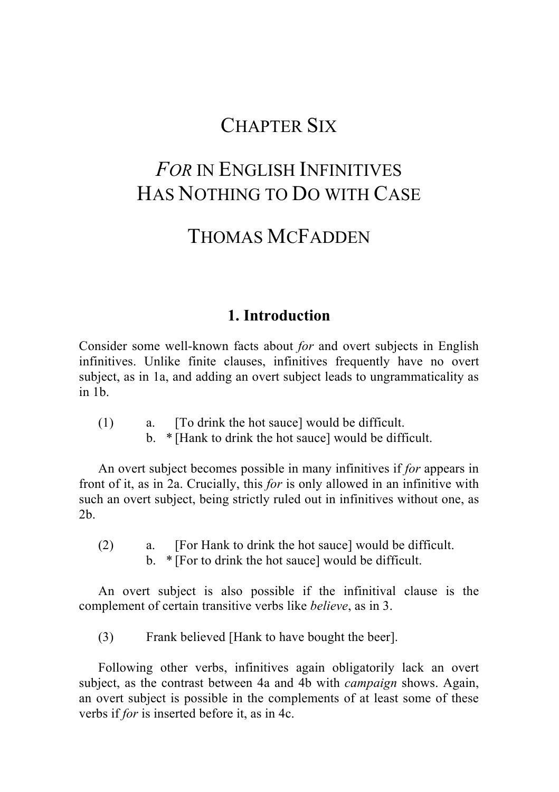# CHAPTER SIX

# *FOR* IN ENGLISH INFINITIVES HAS NOTHING TO DO WITH CASE

# THOMAS MCFADDEN

### **1. Introduction**

Consider some well-known facts about *for* and overt subjects in English infinitives. Unlike finite clauses, infinitives frequently have no overt subject, as in 1a, and adding an overt subject leads to ungrammaticality as in 1b.

- (1) a. [To drink the hot sauce] would be difficult.
	- b. \* [Hank to drink the hot sauce] would be difficult.

An overt subject becomes possible in many infinitives if *for* appears in front of it, as in 2a. Crucially, this *for* is only allowed in an infinitive with such an overt subject, being strictly ruled out in infinitives without one, as 2b.

(2) a. [For Hank to drink the hot sauce] would be difficult. b. \* [For to drink the hot sauce] would be difficult.

An overt subject is also possible if the infinitival clause is the complement of certain transitive verbs like *believe*, as in 3.

(3) Frank believed [Hank to have bought the beer].

Following other verbs, infinitives again obligatorily lack an overt subject, as the contrast between 4a and 4b with *campaign* shows. Again, an overt subject is possible in the complements of at least some of these verbs if *for* is inserted before it, as in 4c.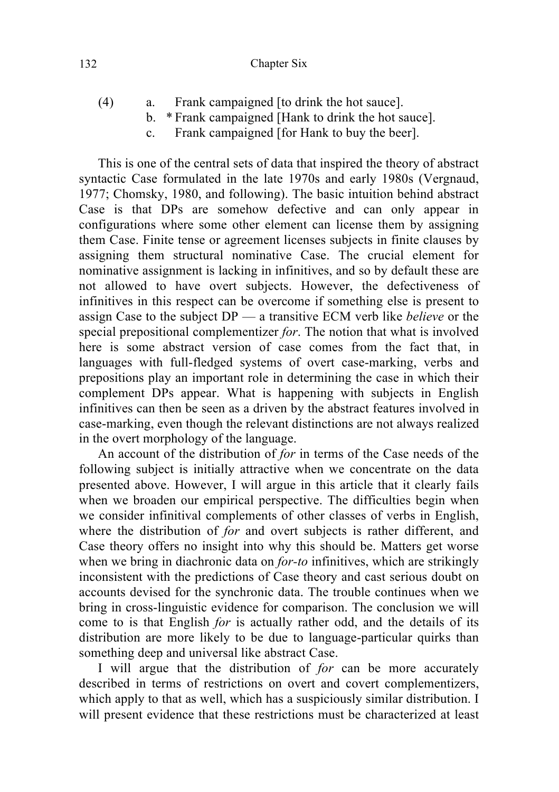#### 132 Chapter Six

- (4) a. Frank campaigned [to drink the hot sauce].
	- b. \* Frank campaigned [Hank to drink the hot sauce].
	- c. Frank campaigned [for Hank to buy the beer].

This is one of the central sets of data that inspired the theory of abstract syntactic Case formulated in the late 1970s and early 1980s (Vergnaud, 1977; Chomsky, 1980, and following). The basic intuition behind abstract Case is that DPs are somehow defective and can only appear in configurations where some other element can license them by assigning them Case. Finite tense or agreement licenses subjects in finite clauses by assigning them structural nominative Case. The crucial element for nominative assignment is lacking in infinitives, and so by default these are not allowed to have overt subjects. However, the defectiveness of infinitives in this respect can be overcome if something else is present to assign Case to the subject DP — a transitive ECM verb like *believe* or the special prepositional complementizer *for*. The notion that what is involved here is some abstract version of case comes from the fact that, in languages with full-fledged systems of overt case-marking, verbs and prepositions play an important role in determining the case in which their complement DPs appear. What is happening with subjects in English infinitives can then be seen as a driven by the abstract features involved in case-marking, even though the relevant distinctions are not always realized in the overt morphology of the language.

An account of the distribution of *for* in terms of the Case needs of the following subject is initially attractive when we concentrate on the data presented above. However, I will argue in this article that it clearly fails when we broaden our empirical perspective. The difficulties begin when we consider infinitival complements of other classes of verbs in English, where the distribution of *for* and overt subjects is rather different, and Case theory offers no insight into why this should be. Matters get worse when we bring in diachronic data on *for-to* infinitives, which are strikingly inconsistent with the predictions of Case theory and cast serious doubt on accounts devised for the synchronic data. The trouble continues when we bring in cross-linguistic evidence for comparison. The conclusion we will come to is that English *for* is actually rather odd, and the details of its distribution are more likely to be due to language-particular quirks than something deep and universal like abstract Case.

I will argue that the distribution of *for* can be more accurately described in terms of restrictions on overt and covert complementizers, which apply to that as well, which has a suspiciously similar distribution. I will present evidence that these restrictions must be characterized at least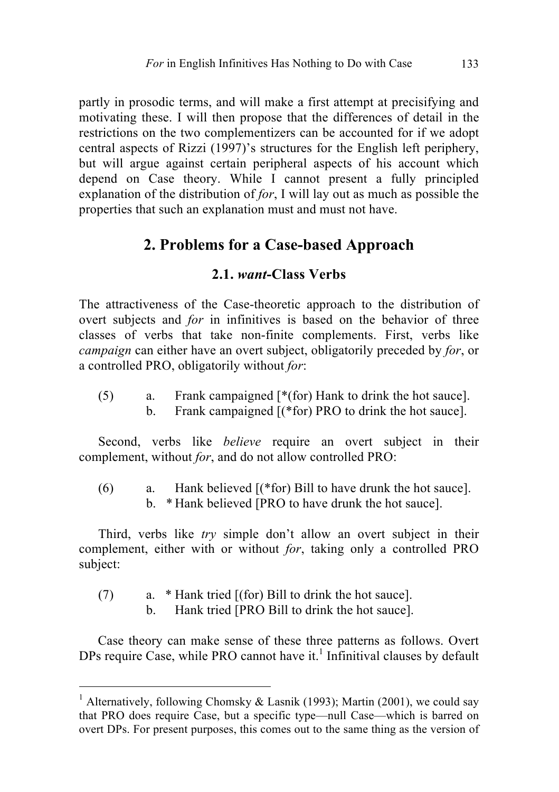partly in prosodic terms, and will make a first attempt at precisifying and motivating these. I will then propose that the differences of detail in the restrictions on the two complementizers can be accounted for if we adopt central aspects of Rizzi (1997)'s structures for the English left periphery, but will argue against certain peripheral aspects of his account which depend on Case theory. While I cannot present a fully principled explanation of the distribution of *for*, I will lay out as much as possible the properties that such an explanation must and must not have.

# **2. Problems for a Case-based Approach**

#### **2.1.** *want***-Class Verbs**

The attractiveness of the Case-theoretic approach to the distribution of overt subjects and *for* in infinitives is based on the behavior of three classes of verbs that take non-finite complements. First, verbs like *campaign* can either have an overt subject, obligatorily preceded by *for*, or a controlled PRO, obligatorily without *for*:

(5) a. Frank campaigned [\*(for) Hank to drink the hot sauce]. b. Frank campaigned  $[(*for)$  PRO to drink the hot sauce].

Second, verbs like *believe* require an overt subject in their complement, without *for*, and do not allow controlled PRO:

(6) a. Hank believed [(\*for) Bill to have drunk the hot sauce]. b. \* Hank believed [PRO to have drunk the hot sauce].

Third, verbs like *try* simple don't allow an overt subject in their complement, either with or without *for*, taking only a controlled PRO subject:

- (7) a. \* Hank tried [(for) Bill to drink the hot sauce].
	- b. Hank tried [PRO Bill to drink the hot sauce].

Case theory can make sense of these three patterns as follows. Overt DPs require Case, while PRO cannot have it.<sup>1</sup> Infinitival clauses by default

<sup>&</sup>lt;sup>1</sup> Alternatively, following Chomsky & Lasnik (1993); Martin (2001), we could say that PRO does require Case, but a specific type—null Case—which is barred on overt DPs. For present purposes, this comes out to the same thing as the version of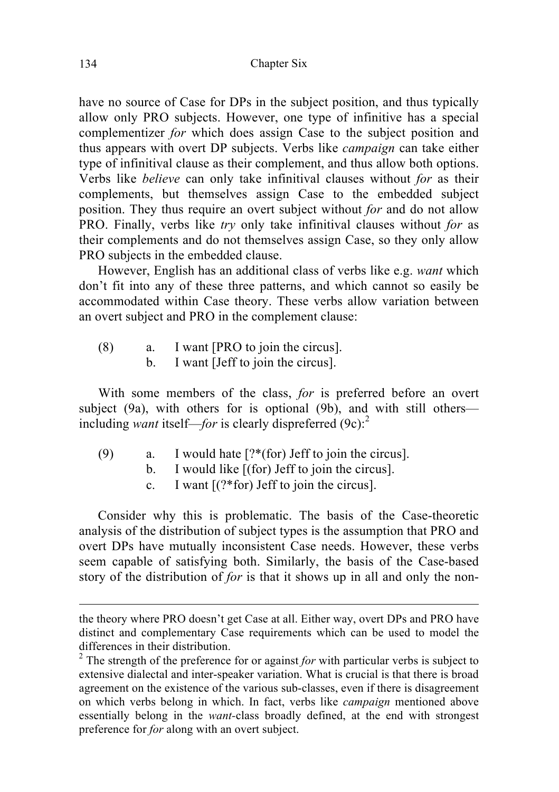have no source of Case for DPs in the subject position, and thus typically allow only PRO subjects. However, one type of infinitive has a special complementizer *for* which does assign Case to the subject position and thus appears with overt DP subjects. Verbs like *campaign* can take either type of infinitival clause as their complement, and thus allow both options. Verbs like *believe* can only take infinitival clauses without *for* as their complements, but themselves assign Case to the embedded subject position. They thus require an overt subject without *for* and do not allow PRO. Finally, verbs like *try* only take infinitival clauses without *for* as their complements and do not themselves assign Case, so they only allow PRO subjects in the embedded clause.

However, English has an additional class of verbs like e.g. *want* which don't fit into any of these three patterns, and which cannot so easily be accommodated within Case theory. These verbs allow variation between an overt subject and PRO in the complement clause:

- (8) a. I want [PRO to join the circus].
	- b. I want [Jeff to join the circus].

With some members of the class, *for* is preferred before an overt subject (9a), with others for is optional (9b), and with still others including *want* itself—*for* is clearly dispreferred  $(9c)$ :<sup>2</sup>

- (9) a. I would hate [?\*(for) Jeff to join the circus].
	- b. I would like [(for) Jeff to join the circus].
	- c. I want [(?\*for) Jeff to join the circus].

Consider why this is problematic. The basis of the Case-theoretic analysis of the distribution of subject types is the assumption that PRO and overt DPs have mutually inconsistent Case needs. However, these verbs seem capable of satisfying both. Similarly, the basis of the Case-based story of the distribution of *for* is that it shows up in all and only the non-

the theory where PRO doesn't get Case at all. Either way, overt DPs and PRO have distinct and complementary Case requirements which can be used to model the differences in their distribution.

<sup>2</sup> The strength of the preference for or against *for* with particular verbs is subject to extensive dialectal and inter-speaker variation. What is crucial is that there is broad agreement on the existence of the various sub-classes, even if there is disagreement on which verbs belong in which. In fact, verbs like *campaign* mentioned above essentially belong in the *want-*class broadly defined, at the end with strongest preference for *for* along with an overt subject.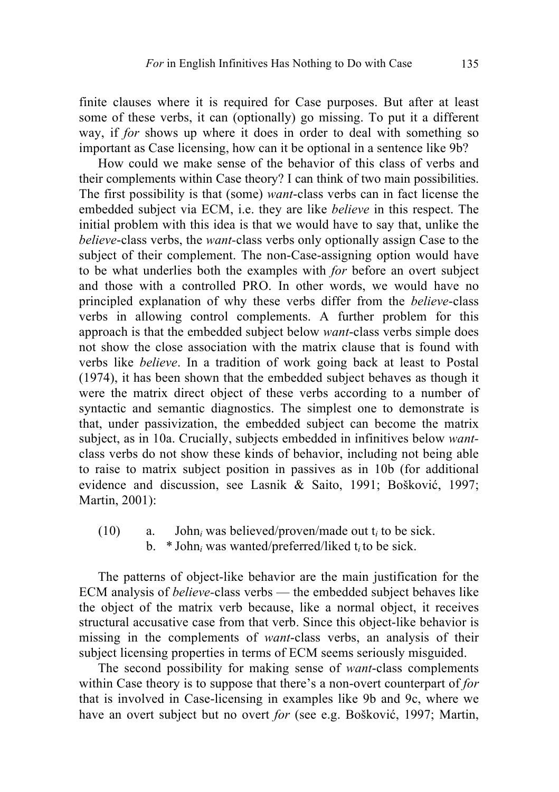finite clauses where it is required for Case purposes. But after at least some of these verbs, it can (optionally) go missing. To put it a different way, if *for* shows up where it does in order to deal with something so important as Case licensing, how can it be optional in a sentence like 9b?

How could we make sense of the behavior of this class of verbs and their complements within Case theory? I can think of two main possibilities. The first possibility is that (some) *want*-class verbs can in fact license the embedded subject via ECM, i.e. they are like *believe* in this respect. The initial problem with this idea is that we would have to say that, unlike the *believe*-class verbs, the *want-*class verbs only optionally assign Case to the subject of their complement. The non-Case-assigning option would have to be what underlies both the examples with *for* before an overt subject and those with a controlled PRO. In other words, we would have no principled explanation of why these verbs differ from the *believe*-class verbs in allowing control complements. A further problem for this approach is that the embedded subject below *want*-class verbs simple does not show the close association with the matrix clause that is found with verbs like *believe*. In a tradition of work going back at least to Postal (1974), it has been shown that the embedded subject behaves as though it were the matrix direct object of these verbs according to a number of syntactic and semantic diagnostics. The simplest one to demonstrate is that, under passivization, the embedded subject can become the matrix subject, as in 10a. Crucially, subjects embedded in infinitives below *want*class verbs do not show these kinds of behavior, including not being able to raise to matrix subject position in passives as in 10b (for additional evidence and discussion, see Lasnik & Saito, 1991; Bošković, 1997; Martin, 2001):

(10) a. John*<sup>i</sup>* was believed/proven/made out t*<sup>i</sup>* to be sick. b. \* John*<sup>i</sup>* was wanted/preferred/liked t*i* to be sick.

The patterns of object-like behavior are the main justification for the ECM analysis of *believe-*class verbs — the embedded subject behaves like the object of the matrix verb because, like a normal object, it receives structural accusative case from that verb. Since this object-like behavior is missing in the complements of *want*-class verbs, an analysis of their subject licensing properties in terms of ECM seems seriously misguided.

The second possibility for making sense of *want*-class complements within Case theory is to suppose that there's a non-overt counterpart of *for*  that is involved in Case-licensing in examples like 9b and 9c, where we have an overt subject but no overt *for* (see e.g. Bošković, 1997; Martin,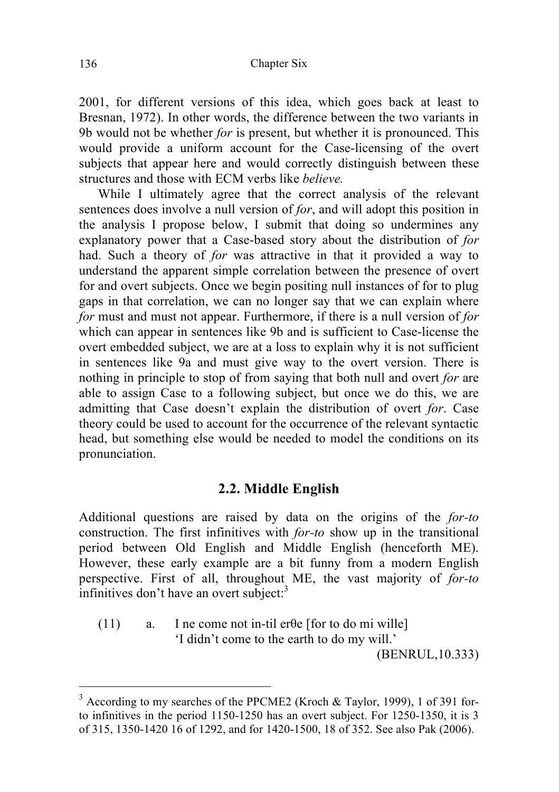2001, for different versions of this idea, which goes back at least to Bresnan, 1972). In other words, the difference between the two variants in 9b would not be whether *for* is present, but whether it is pronounced. This would provide a uniform account for the Case-licensing of the overt subjects that appear here and would correctly distinguish between these structures and those with ECM verbs like *believe.*

While I ultimately agree that the correct analysis of the relevant sentences does involve a null version of *for*, and will adopt this position in the analysis I propose below, I submit that doing so undermines any explanatory power that a Case-based story about the distribution of *for*  had. Such a theory of *for* was attractive in that it provided a way to understand the apparent simple correlation between the presence of overt for and overt subjects. Once we begin positing null instances of for to plug gaps in that correlation, we can no longer say that we can explain where *for* must and must not appear. Furthermore, if there is a null version of *for*  which can appear in sentences like 9b and is sufficient to Case-license the overt embedded subject, we are at a loss to explain why it is not sufficient in sentences like 9a and must give way to the overt version. There is nothing in principle to stop of from saying that both null and overt *for* are able to assign Case to a following subject, but once we do this, we are admitting that Case doesn't explain the distribution of overt *for*. Case theory could be used to account for the occurrence of the relevant syntactic head, but something else would be needed to model the conditions on its pronunciation.

#### **2.2. Middle English**

Additional questions are raised by data on the origins of the *for-to* construction. The first infinitives with *for-to* show up in the transitional period between Old English and Middle English (henceforth ME). However, these early example are a bit funny from a modern English perspective. First of all, throughout ME, the vast majority of *for-to* infinitives don't have an overt subject: $3$ 

(11) a. I ne come not in-til erθe [for to do mi wille] 'I didn't come to the earth to do my will.' (BENRUL,10.333)

<sup>&</sup>lt;sup>3</sup> According to my searches of the PPCME2 (Kroch & Taylor, 1999), 1 of 391 forto infinitives in the period 1150-1250 has an overt subject. For 1250-1350, it is 3 of 315, 1350-1420 16 of 1292, and for 1420-1500, 18 of 352. See also Pak (2006).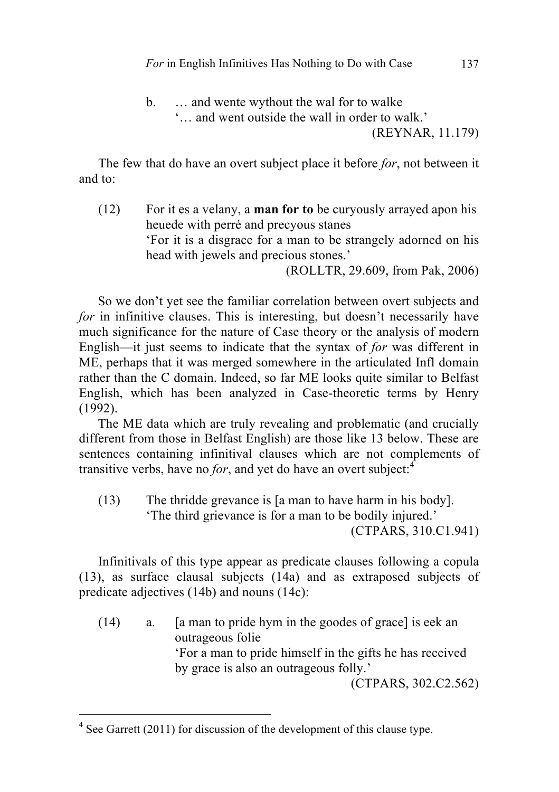b.  $\ldots$  and wente wythout the wal for to walke

'… and went outside the wall in order to walk.'

(REYNAR, 11.179)

The few that do have an overt subject place it before *for*, not between it and to:

(12) For it es a velany, a **man for to** be curyously arrayed apon his heuede with perré and precyous stanes 'For it is a disgrace for a man to be strangely adorned on his head with jewels and precious stones.' (ROLLTR, 29.609, from Pak, 2006)

So we don't yet see the familiar correlation between overt subjects and *for* in infinitive clauses. This is interesting, but doesn't necessarily have much significance for the nature of Case theory or the analysis of modern English—it just seems to indicate that the syntax of *for* was different in ME, perhaps that it was merged somewhere in the articulated Infl domain rather than the C domain. Indeed, so far ME looks quite similar to Belfast English, which has been analyzed in Case-theoretic terms by Henry (1992).

The ME data which are truly revealing and problematic (and crucially different from those in Belfast English) are those like 13 below. These are sentences containing infinitival clauses which are not complements of transitive verbs, have no *for*, and yet do have an overt subject: $4$ 

(13) The thridde grevance is [a man to have harm in his body]. 'The third grievance is for a man to be bodily injured.' (CTPARS, 310.C1.941)

Infinitivals of this type appear as predicate clauses following a copula (13), as surface clausal subjects (14a) and as extraposed subjects of predicate adjectives (14b) and nouns (14c):

(14) a. [a man to pride hym in the goodes of grace] is eek an outrageous folie 'For a man to pride himself in the gifts he has received by grace is also an outrageous folly.' (CTPARS, 302.C2.562)

<sup>&</sup>lt;sup>4</sup> See Garrett (2011) for discussion of the development of this clause type.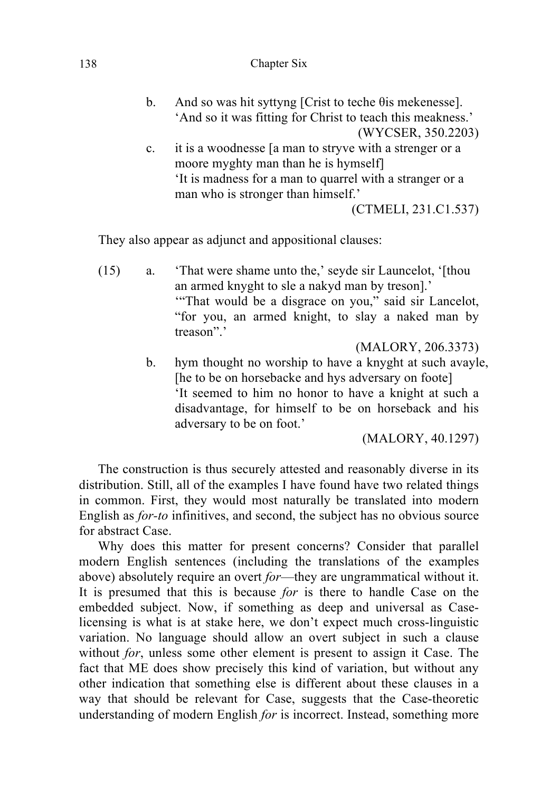#### 138 Chapter Six

- b. And so was hit syttyng [Crist to teche θis mekenesse]. 'And so it was fitting for Christ to teach this meakness.' (WYCSER, 350.2203) c. it is a woodnesse [a man to stryve with a strenger or a moore myghty man than he is hymself]
	- 'It is madness for a man to quarrel with a stranger or a man who is stronger than himself.'

(CTMELI, 231.C1.537)

They also appear as adjunct and appositional clauses:

(15) a. 'That were shame unto the,' seyde sir Launcelot, '[thou an armed knyght to sle a nakyd man by treson].' '"That would be a disgrace on you," said sir Lancelot, "for you, an armed knight, to slay a naked man by treason".'

(MALORY, 206.3373)

b. hym thought no worship to have a knyght at such avayle, [he to be on horsebacke and hys adversary on foote] 'It seemed to him no honor to have a knight at such a disadvantage, for himself to be on horseback and his adversary to be on foot.'

(MALORY, 40.1297)

The construction is thus securely attested and reasonably diverse in its distribution. Still, all of the examples I have found have two related things in common. First, they would most naturally be translated into modern English as *for-to* infinitives, and second, the subject has no obvious source for abstract Case.

Why does this matter for present concerns? Consider that parallel modern English sentences (including the translations of the examples above) absolutely require an overt *for*—they are ungrammatical without it. It is presumed that this is because *for* is there to handle Case on the embedded subject. Now, if something as deep and universal as Caselicensing is what is at stake here, we don't expect much cross-linguistic variation. No language should allow an overt subject in such a clause without *for*, unless some other element is present to assign it Case. The fact that ME does show precisely this kind of variation, but without any other indication that something else is different about these clauses in a way that should be relevant for Case, suggests that the Case-theoretic understanding of modern English *for* is incorrect. Instead, something more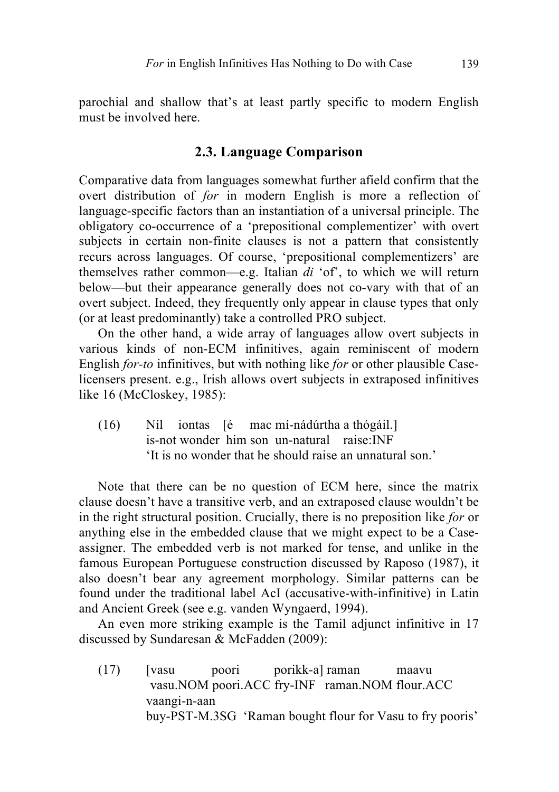parochial and shallow that's at least partly specific to modern English must be involved here.

#### **2.3. Language Comparison**

Comparative data from languages somewhat further afield confirm that the overt distribution of *for* in modern English is more a reflection of language-specific factors than an instantiation of a universal principle. The obligatory co-occurrence of a 'prepositional complementizer' with overt subjects in certain non-finite clauses is not a pattern that consistently recurs across languages. Of course, 'prepositional complementizers' are themselves rather common—e.g. Italian *di* 'of', to which we will return below—but their appearance generally does not co-vary with that of an overt subject. Indeed, they frequently only appear in clause types that only (or at least predominantly) take a controlled PRO subject.

On the other hand, a wide array of languages allow overt subjects in various kinds of non-ECM infinitives, again reminiscent of modern English *for-to* infinitives, but with nothing like *for* or other plausible Caselicensers present. e.g., Irish allows overt subjects in extraposed infinitives like 16 (McCloskey, 1985):

(16) Níl iontas [é mac mí-nádúrtha a thógáil.] is-not wonder him son un-natural raise:INF 'It is no wonder that he should raise an unnatural son.'

Note that there can be no question of ECM here, since the matrix clause doesn't have a transitive verb, and an extraposed clause wouldn't be in the right structural position. Crucially, there is no preposition like *for* or anything else in the embedded clause that we might expect to be a Caseassigner. The embedded verb is not marked for tense, and unlike in the famous European Portuguese construction discussed by Raposo (1987), it also doesn't bear any agreement morphology. Similar patterns can be found under the traditional label AcI (accusative-with-infinitive) in Latin and Ancient Greek (see e.g. vanden Wyngaerd, 1994).

An even more striking example is the Tamil adjunct infinitive in 17 discussed by Sundaresan & McFadden (2009):

(17) [vasu poori porikk-a] raman maavu vasu.NOM poori.ACC fry-INF raman.NOM flour.ACC vaangi-n-aan buy-PST-M.3SG 'Raman bought flour for Vasu to fry pooris'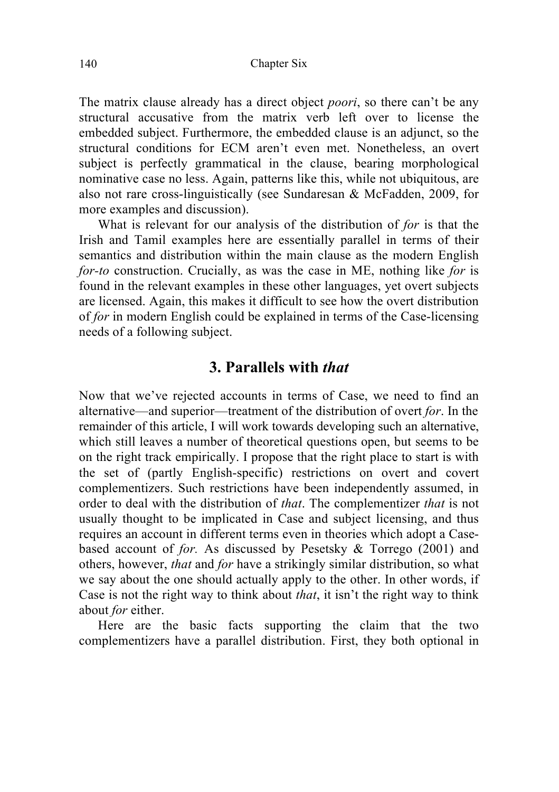The matrix clause already has a direct object *poori*, so there can't be any structural accusative from the matrix verb left over to license the embedded subject. Furthermore, the embedded clause is an adjunct, so the structural conditions for ECM aren't even met. Nonetheless, an overt subject is perfectly grammatical in the clause, bearing morphological nominative case no less. Again, patterns like this, while not ubiquitous, are also not rare cross-linguistically (see Sundaresan & McFadden, 2009, for more examples and discussion).

What is relevant for our analysis of the distribution of *for* is that the Irish and Tamil examples here are essentially parallel in terms of their semantics and distribution within the main clause as the modern English *for-to* construction. Crucially, as was the case in ME, nothing like *for* is found in the relevant examples in these other languages, yet overt subjects are licensed. Again, this makes it difficult to see how the overt distribution of *for* in modern English could be explained in terms of the Case-licensing needs of a following subject.

## **3. Parallels with** *that*

Now that we've rejected accounts in terms of Case, we need to find an alternative—and superior—treatment of the distribution of overt *for*. In the remainder of this article, I will work towards developing such an alternative, which still leaves a number of theoretical questions open, but seems to be on the right track empirically. I propose that the right place to start is with the set of (partly English-specific) restrictions on overt and covert complementizers. Such restrictions have been independently assumed, in order to deal with the distribution of *that*. The complementizer *that* is not usually thought to be implicated in Case and subject licensing, and thus requires an account in different terms even in theories which adopt a Casebased account of *for.* As discussed by Pesetsky & Torrego (2001) and others, however, *that* and *for* have a strikingly similar distribution, so what we say about the one should actually apply to the other. In other words, if Case is not the right way to think about *that*, it isn't the right way to think about *for* either.

Here are the basic facts supporting the claim that the two complementizers have a parallel distribution. First, they both optional in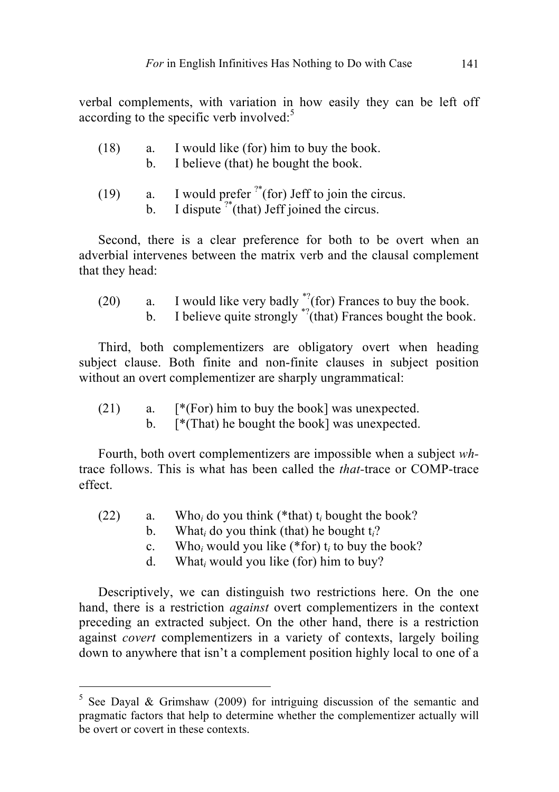verbal complements, with variation in how easily they can be left off according to the specific verb involved: $5$ 

| (18) | I would like (for) him to buy the book. |
|------|-----------------------------------------|
|      | I believe (that) he bought the book.    |

- (19) a. I would prefer  $i^{*}$ (for) Jeff to join the circus.
	- b. I dispute  $i^*$  (that) Jeff joined the circus.

Second, there is a clear preference for both to be overt when an adverbial intervenes between the matrix verb and the clausal complement that they head:

(20) a. I would like very badly  $\frac{^{*2}}{^{*2}}$  (for) Frances to buy the book. b. I believe quite strongly  $\sqrt[3]{(}$ that) Frances bought the book.

Third, both complementizers are obligatory overt when heading subject clause. Both finite and non-finite clauses in subject position without an overt complementizer are sharply ungrammatical:

- $(21)$  a. [\*(For) him to buy the book] was unexpected.
	- b. [\*(That) he bought the book] was unexpected.

Fourth, both overt complementizers are impossible when a subject *wh*trace follows. This is what has been called the *that-*trace or COMP-trace effect.

- (22) a. Who*<sup>i</sup>* do you think (\*that) t*<sup>i</sup>* bought the book?
	- b. What*<sup>i</sup>* do you think (that) he bought t*i*?
	- c. Who*<sup>i</sup>* would you like (\*for) t*<sup>i</sup>* to buy the book?
	- d. What*<sup>i</sup>* would you like (for) him to buy?

Descriptively, we can distinguish two restrictions here. On the one hand, there is a restriction *against* overt complementizers in the context preceding an extracted subject. On the other hand, there is a restriction against *covert* complementizers in a variety of contexts, largely boiling down to anywhere that isn't a complement position highly local to one of a

<sup>&</sup>lt;sup>5</sup> See Daval & Grimshaw (2009) for intriguing discussion of the semantic and pragmatic factors that help to determine whether the complementizer actually will be overt or covert in these contexts.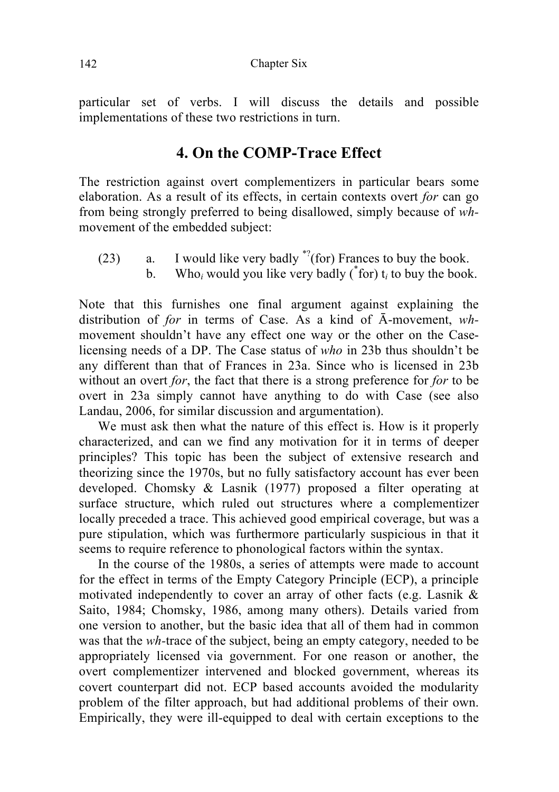particular set of verbs. I will discuss the details and possible implementations of these two restrictions in turn.

## **4. On the COMP-Trace Effect**

The restriction against overt complementizers in particular bears some elaboration. As a result of its effects, in certain contexts overt *for* can go from being strongly preferred to being disallowed, simply because of *wh*movement of the embedded subject:

- (23) a. I would like very badly  $\sqrt[3]{(}$  for) Frances to buy the book.
	- b. Who<sub>i</sub> would you like very badly  $(\phi)$  for  $t_i$  to buy the book.

Note that this furnishes one final argument against explaining the distribution of *for* in terms of Case. As a kind of Ā-movement, *wh*movement shouldn't have any effect one way or the other on the Caselicensing needs of a DP. The Case status of *who* in 23b thus shouldn't be any different than that of Frances in 23a. Since who is licensed in 23b without an overt *for*, the fact that there is a strong preference for *for* to be overt in 23a simply cannot have anything to do with Case (see also Landau, 2006, for similar discussion and argumentation).

We must ask then what the nature of this effect is. How is it properly characterized, and can we find any motivation for it in terms of deeper principles? This topic has been the subject of extensive research and theorizing since the 1970s, but no fully satisfactory account has ever been developed. Chomsky & Lasnik (1977) proposed a filter operating at surface structure, which ruled out structures where a complementizer locally preceded a trace. This achieved good empirical coverage, but was a pure stipulation, which was furthermore particularly suspicious in that it seems to require reference to phonological factors within the syntax.

In the course of the 1980s, a series of attempts were made to account for the effect in terms of the Empty Category Principle (ECP), a principle motivated independently to cover an array of other facts (e.g. Lasnik & Saito, 1984; Chomsky, 1986, among many others). Details varied from one version to another, but the basic idea that all of them had in common was that the *wh-*trace of the subject, being an empty category, needed to be appropriately licensed via government. For one reason or another, the overt complementizer intervened and blocked government, whereas its covert counterpart did not. ECP based accounts avoided the modularity problem of the filter approach, but had additional problems of their own. Empirically, they were ill-equipped to deal with certain exceptions to the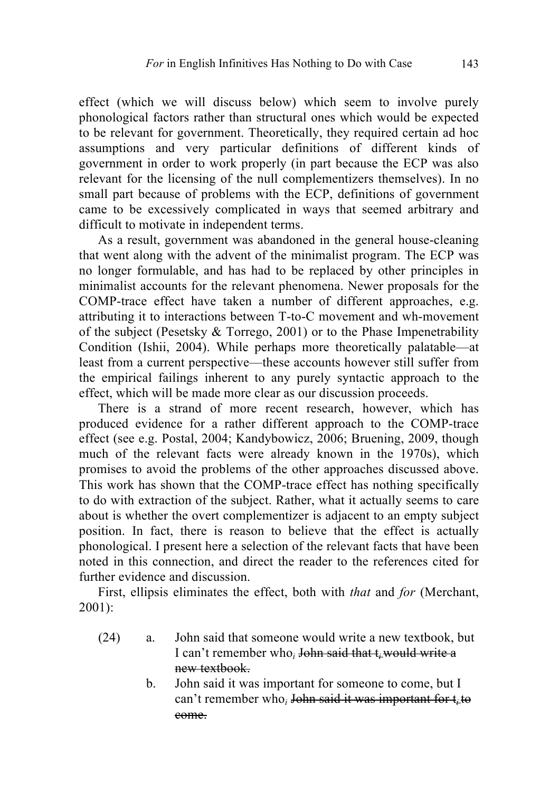effect (which we will discuss below) which seem to involve purely phonological factors rather than structural ones which would be expected to be relevant for government. Theoretically, they required certain ad hoc assumptions and very particular definitions of different kinds of government in order to work properly (in part because the ECP was also relevant for the licensing of the null complementizers themselves). In no small part because of problems with the ECP, definitions of government came to be excessively complicated in ways that seemed arbitrary and difficult to motivate in independent terms.

As a result, government was abandoned in the general house-cleaning that went along with the advent of the minimalist program. The ECP was no longer formulable, and has had to be replaced by other principles in minimalist accounts for the relevant phenomena. Newer proposals for the COMP-trace effect have taken a number of different approaches, e.g. attributing it to interactions between T-to-C movement and wh-movement of the subject (Pesetsky  $&$  Torrego, 2001) or to the Phase Impenetrability Condition (Ishii, 2004). While perhaps more theoretically palatable—at least from a current perspective—these accounts however still suffer from the empirical failings inherent to any purely syntactic approach to the effect, which will be made more clear as our discussion proceeds.

There is a strand of more recent research, however, which has produced evidence for a rather different approach to the COMP-trace effect (see e.g. Postal, 2004; Kandybowicz, 2006; Bruening, 2009, though much of the relevant facts were already known in the 1970s), which promises to avoid the problems of the other approaches discussed above. This work has shown that the COMP-trace effect has nothing specifically to do with extraction of the subject. Rather, what it actually seems to care about is whether the overt complementizer is adjacent to an empty subject position. In fact, there is reason to believe that the effect is actually phonological. I present here a selection of the relevant facts that have been noted in this connection, and direct the reader to the references cited for further evidence and discussion.

First, ellipsis eliminates the effect, both with *that* and *for* (Merchant, 2001):

- (24) a. John said that someone would write a new textbook, but I can't remember who*<sup>i</sup>* John said that t*i* would write a new textbook.
	- b. John said it was important for someone to come, but I can't remember who*<sup>i</sup>* John said it was important for t*i* to come.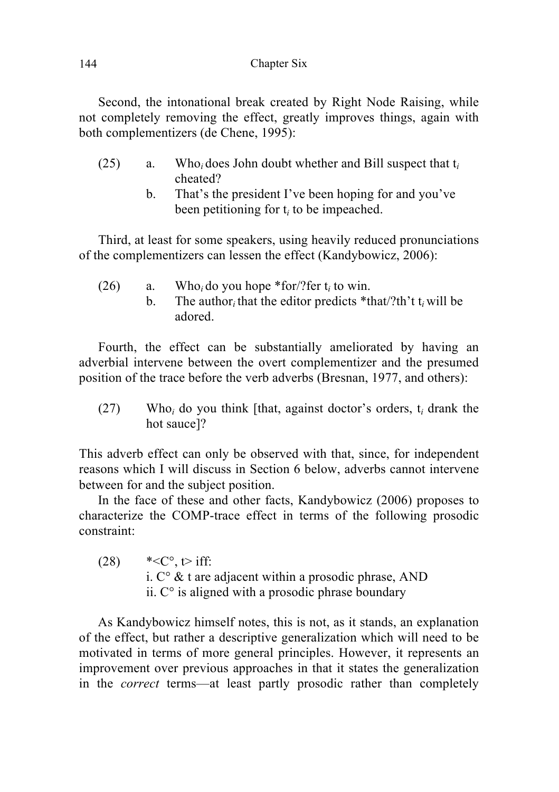Second, the intonational break created by Right Node Raising, while not completely removing the effect, greatly improves things, again with both complementizers (de Chene, 1995):

- (25) a. Who*i* does John doubt whether and Bill suspect that t*<sup>i</sup>* cheated?
	- b. That's the president I've been hoping for and you've been petitioning for t*<sup>i</sup>* to be impeached.

Third, at least for some speakers, using heavily reduced pronunciations of the complementizers can lessen the effect (Kandybowicz, 2006):

(26) a. Who*i* do you hope \*for/?fer t*<sup>i</sup>* to win. b. The author*i* that the editor predicts \*that/?th't t*i* will be adored.

Fourth, the effect can be substantially ameliorated by having an adverbial intervene between the overt complementizer and the presumed position of the trace before the verb adverbs (Bresnan, 1977, and others):

(27) Who*<sup>i</sup>* do you think [that, against doctor's orders, t*<sup>i</sup>* drank the hot sauce]?

This adverb effect can only be observed with that, since, for independent reasons which I will discuss in Section 6 below, adverbs cannot intervene between for and the subject position.

In the face of these and other facts, Kandybowicz (2006) proposes to characterize the COMP-trace effect in terms of the following prosodic constraint:

 $(28)$  \*< C°, t iff: i.  $C^{\circ}$  & t are adjacent within a prosodic phrase, AND ii.  $C^{\circ}$  is aligned with a prosodic phrase boundary

As Kandybowicz himself notes, this is not, as it stands, an explanation of the effect, but rather a descriptive generalization which will need to be motivated in terms of more general principles. However, it represents an improvement over previous approaches in that it states the generalization in the *correct* terms—at least partly prosodic rather than completely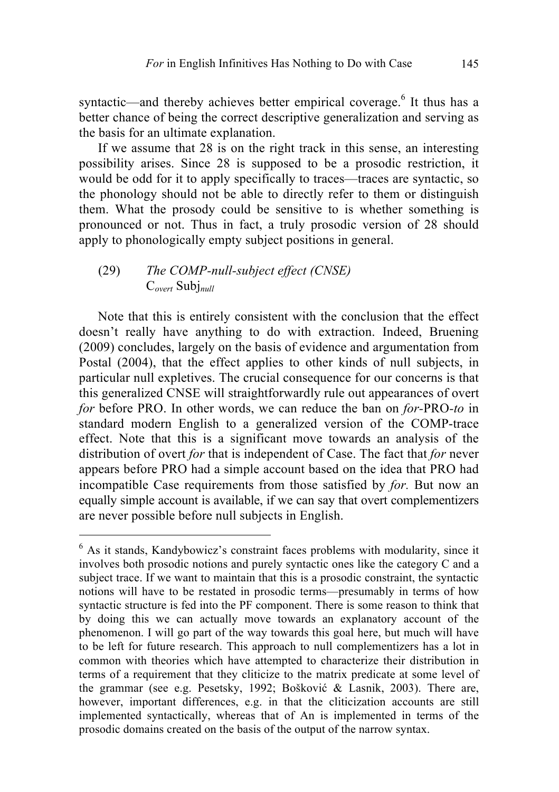syntactic—and thereby achieves better empirical coverage.<sup>6</sup> It thus has a better chance of being the correct descriptive generalization and serving as the basis for an ultimate explanation.

If we assume that 28 is on the right track in this sense, an interesting possibility arises. Since 28 is supposed to be a prosodic restriction, it would be odd for it to apply specifically to traces—traces are syntactic, so the phonology should not be able to directly refer to them or distinguish them. What the prosody could be sensitive to is whether something is pronounced or not. Thus in fact, a truly prosodic version of 28 should apply to phonologically empty subject positions in general.

### (29) *The COMP-null-subject effect (CNSE)* C*overt* Subj*null*

Note that this is entirely consistent with the conclusion that the effect doesn't really have anything to do with extraction. Indeed, Bruening (2009) concludes, largely on the basis of evidence and argumentation from Postal (2004), that the effect applies to other kinds of null subjects, in particular null expletives. The crucial consequence for our concerns is that this generalized CNSE will straightforwardly rule out appearances of overt *for* before PRO. In other words, we can reduce the ban on *for-*PRO*-to* in standard modern English to a generalized version of the COMP-trace effect. Note that this is a significant move towards an analysis of the distribution of overt *for* that is independent of Case. The fact that *for* never appears before PRO had a simple account based on the idea that PRO had incompatible Case requirements from those satisfied by *for.* But now an equally simple account is available, if we can say that overt complementizers are never possible before null subjects in English.

<sup>&</sup>lt;sup>6</sup> As it stands, Kandybowicz's constraint faces problems with modularity, since it involves both prosodic notions and purely syntactic ones like the category C and a subject trace. If we want to maintain that this is a prosodic constraint, the syntactic notions will have to be restated in prosodic terms—presumably in terms of how syntactic structure is fed into the PF component. There is some reason to think that by doing this we can actually move towards an explanatory account of the phenomenon. I will go part of the way towards this goal here, but much will have to be left for future research. This approach to null complementizers has a lot in common with theories which have attempted to characterize their distribution in terms of a requirement that they cliticize to the matrix predicate at some level of the grammar (see e.g. Pesetsky, 1992; Bošković & Lasnik, 2003). There are, however, important differences, e.g. in that the cliticization accounts are still implemented syntactically, whereas that of An is implemented in terms of the prosodic domains created on the basis of the output of the narrow syntax.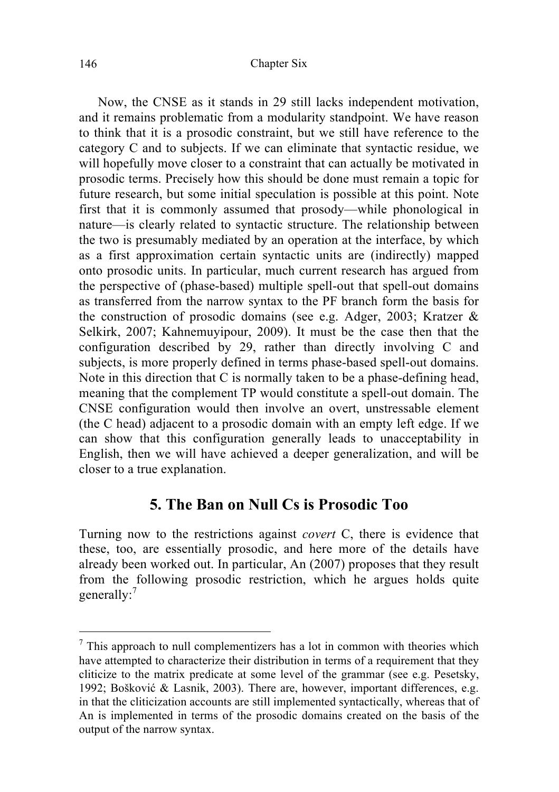Now, the CNSE as it stands in 29 still lacks independent motivation, and it remains problematic from a modularity standpoint. We have reason to think that it is a prosodic constraint, but we still have reference to the category C and to subjects. If we can eliminate that syntactic residue, we will hopefully move closer to a constraint that can actually be motivated in prosodic terms. Precisely how this should be done must remain a topic for future research, but some initial speculation is possible at this point. Note first that it is commonly assumed that prosody—while phonological in nature—is clearly related to syntactic structure. The relationship between the two is presumably mediated by an operation at the interface, by which as a first approximation certain syntactic units are (indirectly) mapped onto prosodic units. In particular, much current research has argued from the perspective of (phase-based) multiple spell-out that spell-out domains as transferred from the narrow syntax to the PF branch form the basis for the construction of prosodic domains (see e.g. Adger, 2003; Kratzer & Selkirk, 2007; Kahnemuyipour, 2009). It must be the case then that the configuration described by 29, rather than directly involving C and subjects, is more properly defined in terms phase-based spell-out domains. Note in this direction that C is normally taken to be a phase-defining head, meaning that the complement TP would constitute a spell-out domain. The CNSE configuration would then involve an overt, unstressable element (the C head) adjacent to a prosodic domain with an empty left edge. If we can show that this configuration generally leads to unacceptability in English, then we will have achieved a deeper generalization, and will be closer to a true explanation.

#### **5. The Ban on Null Cs is Prosodic Too**

Turning now to the restrictions against *covert* C, there is evidence that these, too, are essentially prosodic, and here more of the details have already been worked out. In particular, An (2007) proposes that they result from the following prosodic restriction, which he argues holds quite generally:<sup>7</sup>

 $7$  This approach to null complementizers has a lot in common with theories which have attempted to characterize their distribution in terms of a requirement that they cliticize to the matrix predicate at some level of the grammar (see e.g. Pesetsky, 1992; Bošković & Lasnik, 2003). There are, however, important differences, e.g. in that the cliticization accounts are still implemented syntactically, whereas that of An is implemented in terms of the prosodic domains created on the basis of the output of the narrow syntax.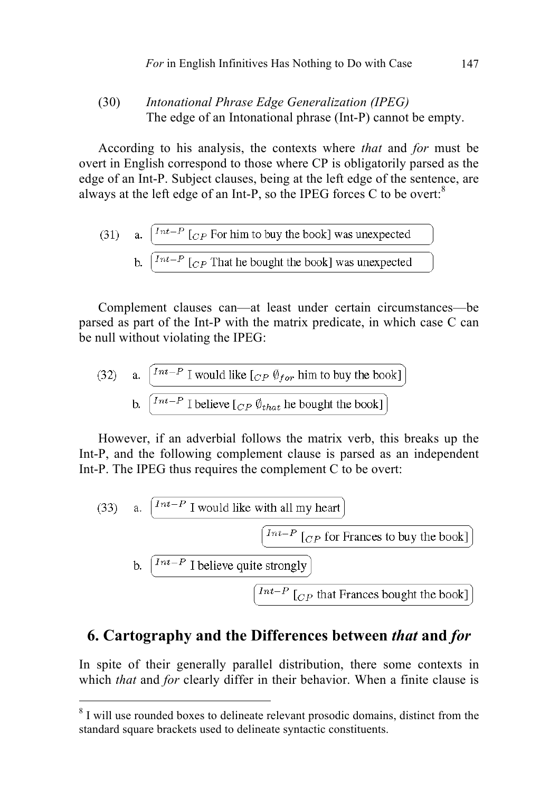#### (30) *Intonational Phrase Edge Generalization (IPEG)* The edge of an Intonational phrase (Int-P) cannot be empty.

According to his analysis, the contexts where *that* and *for* must be overt in English correspond to those where CP is obligatorily parsed as the edge of an Int-P. Subject clauses, being at the left edge of the sentence, are always at the left edge of an Int-P, so the IPEG forces C to be overt:<sup>8</sup>

(31) a. 
$$
\int_{\text{Int}-P}^{\text{Int}-P} [C_P \text{ For him to buy the book}] \text{ was unexpected}
$$
  
b. 
$$
\int_{\text{Int}-P}^{\text{Int}-P} [C_P \text{ That he bought the book}] \text{ was unexpected}
$$

Complement clauses can—at least under certain circumstances—be parsed as part of the Int-P with the matrix predicate, in which case C can be null without violating the IPEG:

(32) a. 
$$
\frac{\begin{bmatrix} Int-P \ I \text{ would like } [CP \ \hat{\theta}_{for} \text{ him to buy the book} \end{bmatrix}}{\begin{bmatrix} Int-P \ I \text{ believe } [CP \ \hat{\theta}_{that} \text{ he bought the book} \end{bmatrix}}
$$

However, if an adverbial follows the matrix verb, this breaks up the Int-P, and the following complement clause is parsed as an independent Int-P. The IPEG thus requires the complement C to be overt:

(33) a. 
$$
\boxed{\frac{Int-P \text{ I would like with all my heart}}{\left(\frac{Int-P \text{ }[C_P \text{ for Frances to buy the book}]\right)}}
$$
  
b. 
$$
\boxed{\frac{Int-P \text{ }[C_P \text{ for Frances to buy the book}]\left(\frac{Int-P \text{ }[C_P \text{ }[C_P \text{ }[C_P \text{ }[C_P \text{ }[C_P \text{ }[C_P \text{ }[C_P \text{ }[C_P \text{ }[C_P \text{ }[C_P \text{ }[C_P \text{ }[C_P \text{ }[C_P \text{ }[C_P \text{ }[C_P \text{ }[C_P \text{ }[C_P \text{ }[C_P \text{ }[C_P \text{ }[C_P \text{ }[C_P \text{ }[C_P \text{ }[C_P \text{ }[C_P \text{ }[C_P \text{ }[C_P \text{ }[C_P \text{ }[C_P \text{ }[C_P \text{ }[C_P \text{ }[C_P \text{ }[C_P \text{ }[C_P \text{ }[C_P \text{ }[C_P \text{ }[C_P \text{ }[C_P \text{ }[C_P \text{ }[C_P \text{ }[C_P \text{ }[C_P \text{ }[C_P \text{ }[C_P \text{ }[C_P \text{ }[C_P \text{ }[C_P \text{ }[C_P \text{ }[C_P \text{ }[C_P \text{ }[C_P \text{ }[C_P \text{ }[C_P \text{ }[C_P \text{ }[C_P \text{ }[C_P \text{ }[C_P \text{ }[C_P \text{ }[C_P \text{ }[C_P \text{ }[C_P \text{ }[C_P \text{ }[C_P \text{ }[C_P \text{ }[C_P \text{ }[C_P \text{ }[C_P \text{ }[C_P \text{ }[C_P \text{ }[C_P \text{ }[C_P \text{ }[C_P \text{ }[C_P \text{ }[C_P \text{ }[C_P \text{ }[C_P \text{ }[C_P \text{ }[C_P \text{ }[C_P \text{ }[C_P \text{ }[C_P \text{ }[C_P \text{ }[C_P \text{ }[C_P \text{ }[C_P \text{ }[C_P \text{ }[C_P \text{ }[C_P \text{ }[C_P \text{ }[C_P \text{ }[C_P \text{ }[C_P \text{ }[C_P \text{ }[C_P \text{ }[C_P \text{ }[C_P \text
$$

# **6. Cartography and the Differences between** *that* **and** *for*

In spite of their generally parallel distribution, there some contexts in which *that* and *for* clearly differ in their behavior. When a finite clause is

<sup>&</sup>lt;sup>8</sup> I will use rounded boxes to delineate relevant prosodic domains, distinct from the standard square brackets used to delineate syntactic constituents.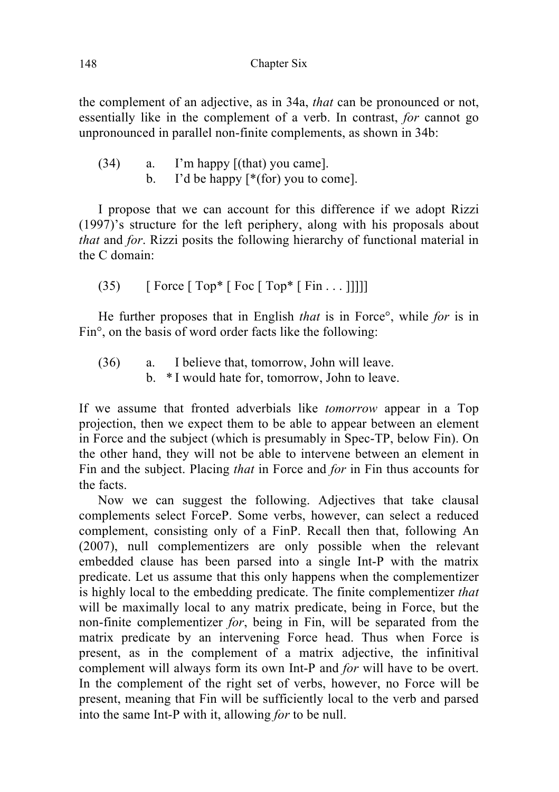the complement of an adjective, as in 34a, *that* can be pronounced or not, essentially like in the complement of a verb. In contrast, *for* cannot go unpronounced in parallel non-finite complements, as shown in 34b:

(34) a. I'm happy [(that) you came]. b. I'd be happy  $[*(for)$  you to come].

I propose that we can account for this difference if we adopt Rizzi (1997)'s structure for the left periphery, along with his proposals about *that* and *for*. Rizzi posits the following hierarchy of functional material in the C domain:

 $(35)$  [ Force [ Top\* [ Foc [ Top\* [ Fin . . . ]]]]]

He further proposes that in English *that* is in Force°, while *for* is in Fin°, on the basis of word order facts like the following:

(36) a. I believe that, tomorrow, John will leave. b. \* I would hate for, tomorrow, John to leave.

If we assume that fronted adverbials like *tomorrow* appear in a Top projection, then we expect them to be able to appear between an element in Force and the subject (which is presumably in Spec-TP, below Fin). On the other hand, they will not be able to intervene between an element in Fin and the subject. Placing *that* in Force and *for* in Fin thus accounts for the facts.

Now we can suggest the following. Adjectives that take clausal complements select ForceP. Some verbs, however, can select a reduced complement, consisting only of a FinP. Recall then that, following An (2007), null complementizers are only possible when the relevant embedded clause has been parsed into a single Int-P with the matrix predicate. Let us assume that this only happens when the complementizer is highly local to the embedding predicate. The finite complementizer *that*  will be maximally local to any matrix predicate, being in Force, but the non-finite complementizer *for*, being in Fin, will be separated from the matrix predicate by an intervening Force head. Thus when Force is present, as in the complement of a matrix adjective, the infinitival complement will always form its own Int-P and *for* will have to be overt. In the complement of the right set of verbs, however, no Force will be present, meaning that Fin will be sufficiently local to the verb and parsed into the same Int-P with it, allowing *for* to be null.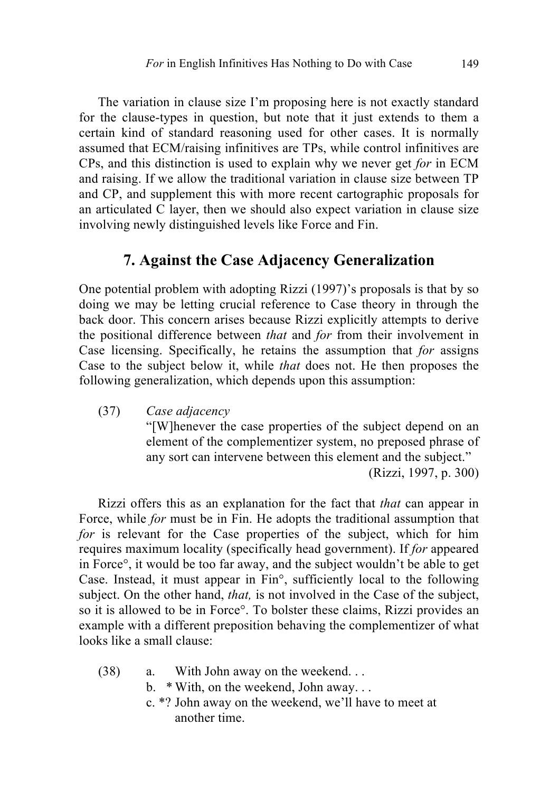The variation in clause size I'm proposing here is not exactly standard for the clause-types in question, but note that it just extends to them a certain kind of standard reasoning used for other cases. It is normally assumed that ECM/raising infinitives are TPs, while control infinitives are CPs, and this distinction is used to explain why we never get *for* in ECM and raising. If we allow the traditional variation in clause size between TP and CP, and supplement this with more recent cartographic proposals for an articulated C layer, then we should also expect variation in clause size involving newly distinguished levels like Force and Fin.

# **7. Against the Case Adjacency Generalization**

One potential problem with adopting Rizzi (1997)'s proposals is that by so doing we may be letting crucial reference to Case theory in through the back door. This concern arises because Rizzi explicitly attempts to derive the positional difference between *that* and *for* from their involvement in Case licensing. Specifically, he retains the assumption that *for* assigns Case to the subject below it, while *that* does not. He then proposes the following generalization, which depends upon this assumption:

(37) *Case adjacency* "[W]henever the case properties of the subject depend on an element of the complementizer system, no preposed phrase of any sort can intervene between this element and the subject." (Rizzi, 1997, p. 300)

Rizzi offers this as an explanation for the fact that *that* can appear in Force, while *for* must be in Fin. He adopts the traditional assumption that *for* is relevant for the Case properties of the subject, which for him requires maximum locality (specifically head government). If *for* appeared in Force°, it would be too far away, and the subject wouldn't be able to get Case. Instead, it must appear in Fin°, sufficiently local to the following subject. On the other hand, *that,* is not involved in the Case of the subject, so it is allowed to be in Force°. To bolster these claims, Rizzi provides an example with a different preposition behaving the complementizer of what looks like a small clause:

- (38) a. With John away on the weekend. . .
	- b. \* With, on the weekend, John away. . .
	- c. \*? John away on the weekend, we'll have to meet at another time.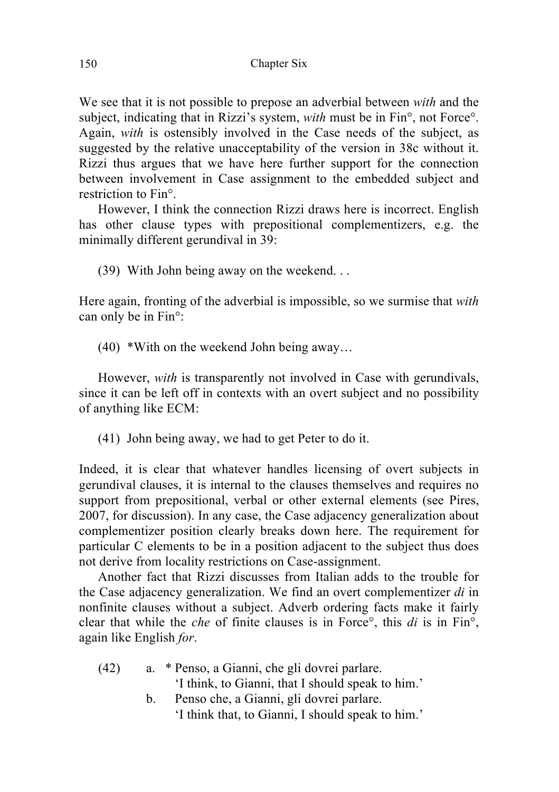We see that it is not possible to prepose an adverbial between *with* and the subject, indicating that in Rizzi's system, *with* must be in Fin°, not Force°. Again, *with* is ostensibly involved in the Case needs of the subject, as suggested by the relative unacceptability of the version in 38c without it. Rizzi thus argues that we have here further support for the connection between involvement in Case assignment to the embedded subject and restriction to Fin°.

However, I think the connection Rizzi draws here is incorrect. English has other clause types with prepositional complementizers, e.g. the minimally different gerundival in 39:

(39) With John being away on the weekend. . .

Here again, fronting of the adverbial is impossible, so we surmise that *with*  can only be in Fin°:

(40) \*With on the weekend John being away…

However, *with* is transparently not involved in Case with gerundivals, since it can be left off in contexts with an overt subject and no possibility of anything like ECM:

(41) John being away, we had to get Peter to do it.

Indeed, it is clear that whatever handles licensing of overt subjects in gerundival clauses, it is internal to the clauses themselves and requires no support from prepositional, verbal or other external elements (see Pires, 2007, for discussion). In any case, the Case adjacency generalization about complementizer position clearly breaks down here. The requirement for particular C elements to be in a position adjacent to the subject thus does not derive from locality restrictions on Case-assignment.

Another fact that Rizzi discusses from Italian adds to the trouble for the Case adjacency generalization. We find an overt complementizer *di* in nonfinite clauses without a subject. Adverb ordering facts make it fairly clear that while the *che* of finite clauses is in Force°, this *di* is in Fin°, again like English *for*.

(42) a. \* Penso, a Gianni, che gli dovrei parlare. 'I think, to Gianni, that I should speak to him.' b. Penso che, a Gianni, gli dovrei parlare.

'I think that, to Gianni, I should speak to him.'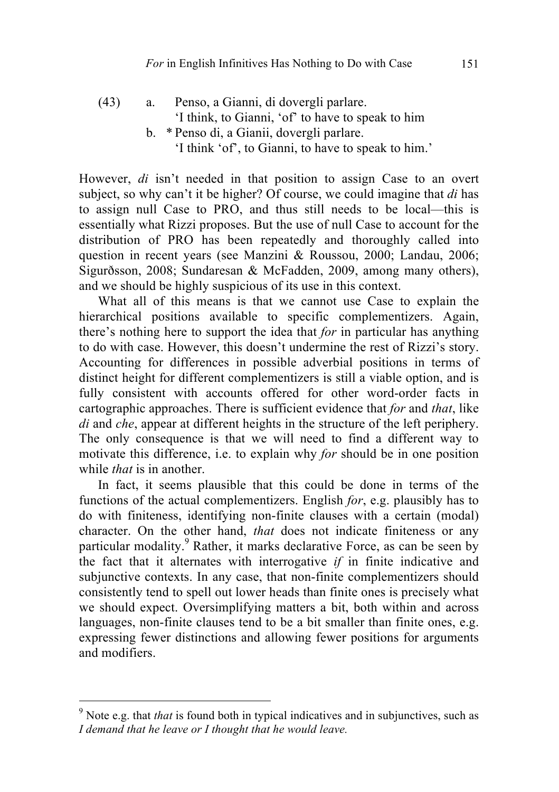(43) a. Penso, a Gianni, di dovergli parlare. 'I think, to Gianni, 'of' to have to speak to him b. \* Penso di, a Gianii, dovergli parlare. 'I think 'of', to Gianni, to have to speak to him.'

However, *di* isn't needed in that position to assign Case to an overt subject, so why can't it be higher? Of course, we could imagine that *di* has to assign null Case to PRO, and thus still needs to be local—this is essentially what Rizzi proposes. But the use of null Case to account for the distribution of PRO has been repeatedly and thoroughly called into question in recent years (see Manzini & Roussou, 2000; Landau, 2006; Sigurðsson, 2008; Sundaresan & McFadden, 2009, among many others), and we should be highly suspicious of its use in this context.

What all of this means is that we cannot use Case to explain the hierarchical positions available to specific complementizers. Again, there's nothing here to support the idea that *for* in particular has anything to do with case. However, this doesn't undermine the rest of Rizzi's story. Accounting for differences in possible adverbial positions in terms of distinct height for different complementizers is still a viable option, and is fully consistent with accounts offered for other word-order facts in cartographic approaches. There is sufficient evidence that *for* and *that*, like *di* and *che*, appear at different heights in the structure of the left periphery. The only consequence is that we will need to find a different way to motivate this difference, i.e. to explain why *for* should be in one position while *that* is in another.

In fact, it seems plausible that this could be done in terms of the functions of the actual complementizers. English *for*, e.g. plausibly has to do with finiteness, identifying non-finite clauses with a certain (modal) character. On the other hand, *that* does not indicate finiteness or any particular modality.<sup>9</sup> Rather, it marks declarative Force, as can be seen by the fact that it alternates with interrogative *if* in finite indicative and subjunctive contexts. In any case, that non-finite complementizers should consistently tend to spell out lower heads than finite ones is precisely what we should expect. Oversimplifying matters a bit, both within and across languages, non-finite clauses tend to be a bit smaller than finite ones, e.g. expressing fewer distinctions and allowing fewer positions for arguments and modifiers.

 <sup>9</sup> Note e.g. that *that* is found both in typical indicatives and in subjunctives, such as *I demand that he leave or I thought that he would leave.*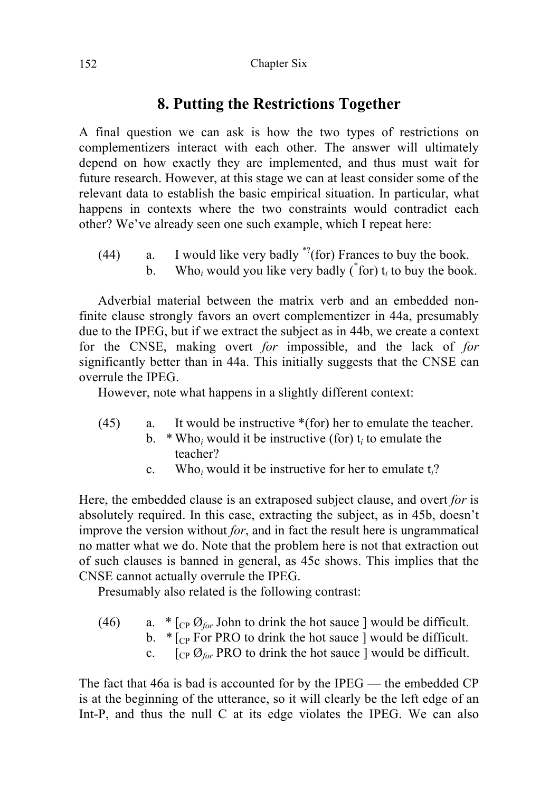# **8. Putting the Restrictions Together**

A final question we can ask is how the two types of restrictions on complementizers interact with each other. The answer will ultimately depend on how exactly they are implemented, and thus must wait for future research. However, at this stage we can at least consider some of the relevant data to establish the basic empirical situation. In particular, what happens in contexts where the two constraints would contradict each other? We've already seen one such example, which I repeat here:

- (44) a. I would like very badly  $\sqrt[3]{(}$  for) Frances to buy the book.
	- b. Who<sub>i</sub> would you like very badly  $({}^{*}$  for)  $t_i$  to buy the book.

Adverbial material between the matrix verb and an embedded nonfinite clause strongly favors an overt complementizer in 44a, presumably due to the IPEG, but if we extract the subject as in 44b, we create a context for the CNSE, making overt *for* impossible, and the lack of *for*  significantly better than in 44a. This initially suggests that the CNSE can overrule the IPEG.

However, note what happens in a slightly different context:

- (45) a. It would be instructive \*(for) her to emulate the teacher.
	- b.  $*$  Who<sub>i</sub> would it be instructive (for)  $t_i$  to emulate the teacher?
		- c. Who*<sup>i</sup>* would it be instructive for her to emulate t*i*?

Here, the embedded clause is an extraposed subject clause, and overt *for* is absolutely required. In this case, extracting the subject, as in 45b, doesn't improve the version without *for*, and in fact the result here is ungrammatical no matter what we do. Note that the problem here is not that extraction out of such clauses is banned in general, as 45c shows. This implies that the CNSE cannot actually overrule the IPEG.

Presumably also related is the following contrast:

- (46) a.  $\ast$  [<sub>CP</sub>  $\mathcal{O}_{\text{for}}$  John to drink the hot sauce ] would be difficult.
	- b.  $\ast$  [<sub>CP</sub> For PRO to drink the hot sauce ] would be difficult.
	- c.  $\left[\begin{array}{cc} \cos\theta_{\text{for}} & \cos\theta_{\text{for}} \end{array}\right]$  PRO to drink the hot sauce ] would be difficult.

The fact that 46a is bad is accounted for by the IPEG — the embedded CP is at the beginning of the utterance, so it will clearly be the left edge of an Int-P, and thus the null C at its edge violates the IPEG. We can also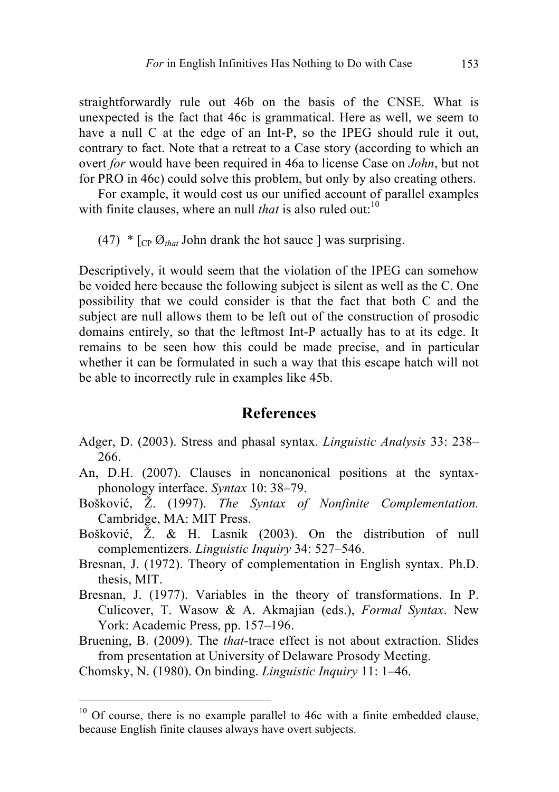straightforwardly rule out 46b on the basis of the CNSE. What is unexpected is the fact that 46c is grammatical. Here as well, we seem to have a null C at the edge of an Int-P, so the IPEG should rule it out, contrary to fact. Note that a retreat to a Case story (according to which an overt *for* would have been required in 46a to license Case on *John*, but not for PRO in 46c) could solve this problem, but only by also creating others.

For example, it would cost us our unified account of parallel examples with finite clauses, where an null *that* is also ruled out:<sup>10</sup>

(47)  $*$   $[CP \mathcal{O}_{that}$  John drank the hot sauce ] was surprising.

Descriptively, it would seem that the violation of the IPEG can somehow be voided here because the following subject is silent as well as the C. One possibility that we could consider is that the fact that both C and the subject are null allows them to be left out of the construction of prosodic domains entirely, so that the leftmost Int-P actually has to at its edge. It remains to be seen how this could be made precise, and in particular whether it can be formulated in such a way that this escape hatch will not be able to incorrectly rule in examples like 45b.

#### **References**

- Adger, D. (2003). Stress and phasal syntax. *Linguistic Analysis* 33: 238– 266.
- An, D.H. (2007). Clauses in noncanonical positions at the syntaxphonology interface. *Syntax* 10: 38–79.
- Bošković, Ž. (1997). *The Syntax of Nonfinite Complementation.* Cambridge, MA: MIT Press.
- Bošković, Ž. & H. Lasnik (2003). On the distribution of null complementizers. *Linguistic Inquiry* 34: 527–546.
- Bresnan, J. (1972). Theory of complementation in English syntax. Ph.D. thesis, MIT.
- Bresnan, J. (1977). Variables in the theory of transformations. In P. Culicover, T. Wasow & A. Akmajian (eds.), *Formal Syntax*. New York: Academic Press, pp. 157–196.
- Bruening, B. (2009). The *that*-trace effect is not about extraction. Slides from presentation at University of Delaware Prosody Meeting.

Chomsky, N. (1980). On binding. *Linguistic Inquiry* 11: 1–46.

 $10$  Of course, there is no example parallel to 46c with a finite embedded clause, because English finite clauses always have overt subjects.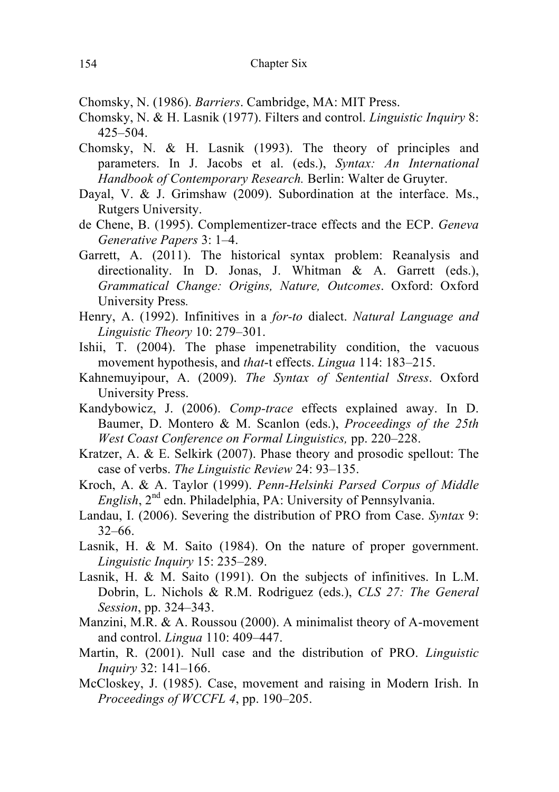Chomsky, N. (1986). *Barriers*. Cambridge, MA: MIT Press.

- Chomsky, N. & H. Lasnik (1977). Filters and control. *Linguistic Inquiry* 8: 425–504.
- Chomsky, N. & H. Lasnik (1993). The theory of principles and parameters. In J. Jacobs et al. (eds.), *Syntax: An International Handbook of Contemporary Research.* Berlin: Walter de Gruyter.
- Dayal, V. & J. Grimshaw (2009). Subordination at the interface. Ms., Rutgers University.
- de Chene, B. (1995). Complementizer-trace effects and the ECP. *Geneva Generative Papers* 3: 1–4.
- Garrett, A. (2011). The historical syntax problem: Reanalysis and directionality. In D. Jonas, J. Whitman & A. Garrett (eds.), *Grammatical Change: Origins, Nature, Outcomes*. Oxford: Oxford University Press*.*
- Henry, A. (1992). Infinitives in a *for-to* dialect. *Natural Language and Linguistic Theory* 10: 279–301.
- Ishii, T. (2004). The phase impenetrability condition, the vacuous movement hypothesis, and *that*-t effects. *Lingua* 114: 183–215.
- Kahnemuyipour, A. (2009). *The Syntax of Sentential Stress*. Oxford University Press.
- Kandybowicz, J. (2006). *Comp-trace* effects explained away. In D. Baumer, D. Montero & M. Scanlon (eds.), *Proceedings of the 25th West Coast Conference on Formal Linguistics,* pp. 220–228.
- Kratzer, A. & E. Selkirk (2007). Phase theory and prosodic spellout: The case of verbs. *The Linguistic Review* 24: 93–135.
- Kroch, A. & A. Taylor (1999). *Penn-Helsinki Parsed Corpus of Middle English*, 2nd edn. Philadelphia, PA: University of Pennsylvania.
- Landau, I. (2006). Severing the distribution of PRO from Case. *Syntax* 9: 32–66.
- Lasnik, H. & M. Saito (1984). On the nature of proper government. *Linguistic Inquiry* 15: 235–289.
- Lasnik, H. & M. Saito (1991). On the subjects of infinitives. In L.M. Dobrin, L. Nichols & R.M. Rodriguez (eds.), *CLS 27: The General Session*, pp. 324–343.
- Manzini, M.R. & A. Roussou (2000). A minimalist theory of A-movement and control. *Lingua* 110: 409–447.
- Martin, R. (2001). Null case and the distribution of PRO. *Linguistic Inquiry* 32: 141–166.
- McCloskey, J. (1985). Case, movement and raising in Modern Irish. In *Proceedings of WCCFL 4*, pp. 190–205.